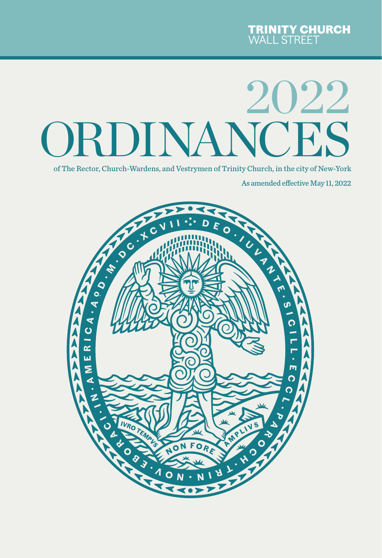# ORDINANCES 2022

of The Rector, Church-Wardens, and Vestrymen of Trinity Church, in the city of New-York

As amended effective May 11, 2022

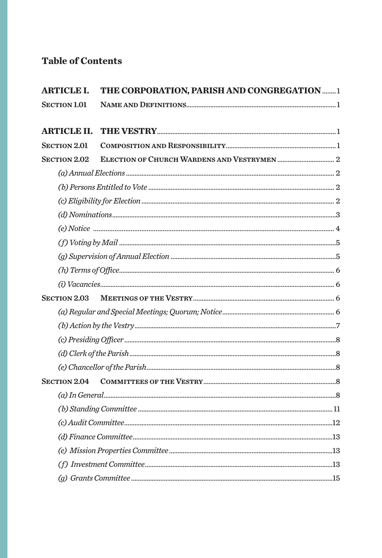## **Table of Contents**

| <b>ARTICLE I.</b>   | THE CORPORATION, PARISH AND CONGREGATION  1 |  |
|---------------------|---------------------------------------------|--|
| <b>SECTION 1.01</b> |                                             |  |
|                     |                                             |  |
| <b>ARTICLE II.</b>  |                                             |  |
| <b>SECTION 2.01</b> |                                             |  |
| <b>SECTION 2.02</b> |                                             |  |
|                     |                                             |  |
|                     |                                             |  |
|                     |                                             |  |
|                     |                                             |  |
|                     |                                             |  |
|                     |                                             |  |
|                     |                                             |  |
|                     |                                             |  |
|                     |                                             |  |
| <b>SECTION 2.03</b> |                                             |  |
|                     |                                             |  |
|                     |                                             |  |
|                     |                                             |  |
|                     |                                             |  |
|                     |                                             |  |
| <b>SECTION 2.04</b> |                                             |  |
|                     |                                             |  |
|                     |                                             |  |
|                     |                                             |  |
|                     |                                             |  |
|                     |                                             |  |
|                     |                                             |  |
|                     |                                             |  |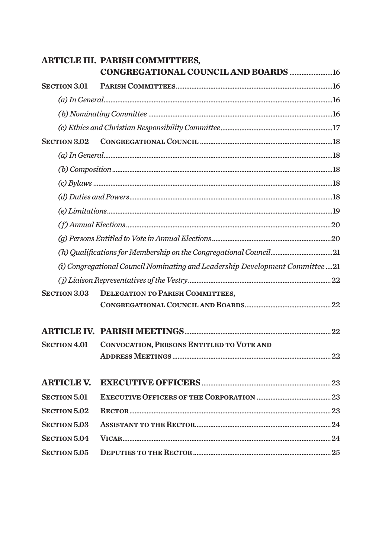|                     | <b>ARTICLE III. PARISH COMMITTEES,</b>                                        |  |
|---------------------|-------------------------------------------------------------------------------|--|
|                     |                                                                               |  |
| <b>SECTION 3.01</b> |                                                                               |  |
|                     |                                                                               |  |
|                     |                                                                               |  |
|                     |                                                                               |  |
| <b>SECTION 3.02</b> |                                                                               |  |
|                     |                                                                               |  |
|                     |                                                                               |  |
|                     |                                                                               |  |
|                     |                                                                               |  |
|                     |                                                                               |  |
|                     |                                                                               |  |
|                     |                                                                               |  |
|                     | (h) Qualifications for Membership on the Congregational Council21             |  |
|                     | (i) Congregational Council Nominating and Leadership Development Committee 21 |  |
|                     |                                                                               |  |
| <b>SECTION 3.03</b> | <b>DELEGATION TO PARISH COMMITTEES,</b>                                       |  |
|                     |                                                                               |  |
|                     |                                                                               |  |
| <b>SECTION 4.01</b> | CONVOCATION, PERSONS ENTITLED TO VOTE AND                                     |  |
|                     |                                                                               |  |
| <b>ARTICLE V.</b>   |                                                                               |  |
| <b>SECTION 5.01</b> |                                                                               |  |
| <b>SECTION 5.02</b> |                                                                               |  |
| <b>SECTION 5.03</b> |                                                                               |  |
| <b>SECTION 5.04</b> |                                                                               |  |
| <b>SECTION 5.05</b> |                                                                               |  |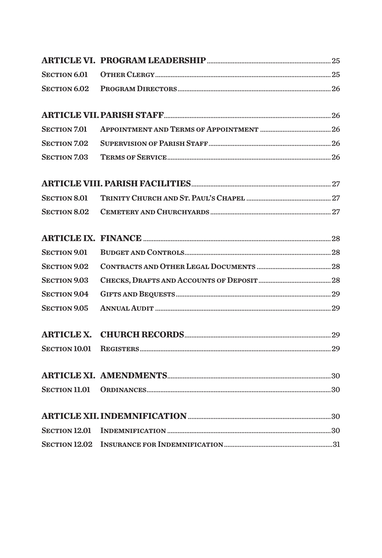| <b>SECTION 6.01</b>  |  |
|----------------------|--|
| <b>SECTION 6.02</b>  |  |
|                      |  |
| <b>SECTION 7.01</b>  |  |
| <b>SECTION 7.02</b>  |  |
| <b>SECTION 7.03</b>  |  |
|                      |  |
| <b>SECTION 8.01</b>  |  |
| <b>SECTION 8.02</b>  |  |
|                      |  |
| <b>SECTION 9.01</b>  |  |
| <b>SECTION 9.02</b>  |  |
| <b>SECTION 9.03</b>  |  |
| <b>SECTION 9.04</b>  |  |
| <b>SECTION 9.05</b>  |  |
|                      |  |
| <b>SECTION 10.01</b> |  |
|                      |  |
| <b>SECTION 11.01</b> |  |
|                      |  |
|                      |  |
|                      |  |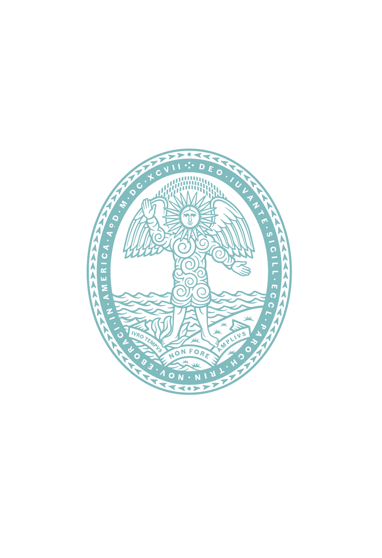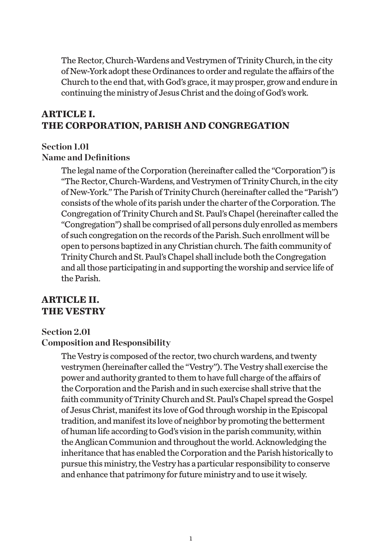The Rector, Church-Wardens and Vestrymen of Trinity Church, in the city of New-York adopt these Ordinances to order and regulate the affairs of the Church to the end that, with God's grace, it may prosper, grow and endure in continuing the ministry of Jesus Christ and the doing of God's work.

## **ARTICLE I. THE CORPORATION, PARISH AND CONGREGATION**

#### **Section 1.01 Name and Definitions**

The legal name of the Corporation (hereinafter called the "Corporation") is "The Rector, Church-Wardens, and Vestrymen of Trinity Church, in the city of New-York." The Parish of Trinity Church (hereinafter called the "Parish") consists of the whole of its parish under the charter of the Corporation. The Congregation of Trinity Church and St. Paul's Chapel (hereinafter called the "Congregation") shall be comprised of all persons duly enrolled as members of such congregation on the records of the Parish. Such enrollment will be open to persons baptized in any Christian church. The faith community of Trinity Church and St. Paul's Chapel shall include both the Congregation and all those participating in and supporting the worship and service life of the Parish.

## **ARTICLE II. THE VESTRY**

#### **Section 2.01**

#### **Composition and Responsibility**

The Vestry is composed of the rector, two church wardens, and twenty vestrymen (hereinafter called the "Vestry"). The Vestry shall exercise the power and authority granted to them to have full charge of the affairs of the Corporation and the Parish and in such exercise shall strive that the faith community of Trinity Church and St. Paul's Chapel spread the Gospel of Jesus Christ, manifest its love of God through worship in the Episcopal tradition, and manifest its love of neighbor by promoting the betterment of human life according to God's vision in the parish community, within the Anglican Communion and throughout the world. Acknowledging the inheritance that has enabled the Corporation and the Parish historically to pursue this ministry, the Vestry has a particular responsibility to conserve and enhance that patrimony for future ministry and to use it wisely.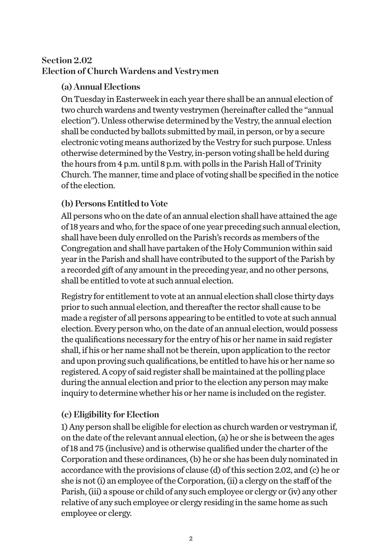## **Section 2.02 Election of Church Wardens and Vestrymen**

## **(a) Annual Elections**

On Tuesday in Easterweek in each year there shall be an annual election of two church wardens and twenty vestrymen (hereinafter called the "annual election"). Unless otherwise determined by the Vestry, the annual election shall be conducted by ballots submitted by mail, in person, or by a secure electronic voting means authorized by the Vestry for such purpose. Unless otherwise determined by the Vestry, in-person voting shall be held during the hours from 4 p.m. until 8 p.m. with polls in the Parish Hall of Trinity Church. The manner, time and place of voting shall be specified in the notice of the election.

## **(b) Persons Entitled to Vote**

All persons who on the date of an annual election shall have attained the age of 18 years and who, for the space of one year preceding such annual election, shall have been duly enrolled on the Parish's records as members of the Congregation and shall have partaken of the Holy Communion within said year in the Parish and shall have contributed to the support of the Parish by a recorded gift of any amount in the preceding year, and no other persons, shall be entitled to vote at such annual election.

Registry for entitlement to vote at an annual election shall close thirty days prior to such annual election, and thereafter the rector shall cause to be made a register of all persons appearing to be entitled to vote at such annual election. Every person who, on the date of an annual election, would possess the qualifications necessary for the entry of his or her name in said register shall, if his or her name shall not be therein, upon application to the rector and upon proving such qualifications, be entitled to have his or her name so registered. A copy of said register shall be maintained at the polling place during the annual election and prior to the election any person may make inquiry to determine whether his or her name is included on the register.

## **(c) Eligibility for Election**

1) Any person shall be eligible for election as church warden or vestryman if, on the date of the relevant annual election, (a) he or she is between the ages of 18 and 75 (inclusive) and is otherwise qualified under the charter of the Corporation and these ordinances, (b) he or she has been duly nominated in accordance with the provisions of clause (d) of this section 2.02, and (c) he or she is not (i) an employee of the Corporation, (ii) a clergy on the staff of the Parish, (iii) a spouse or child of any such employee or clergy or (iv) any other relative of any such employee or clergy residing in the same home as such employee or clergy.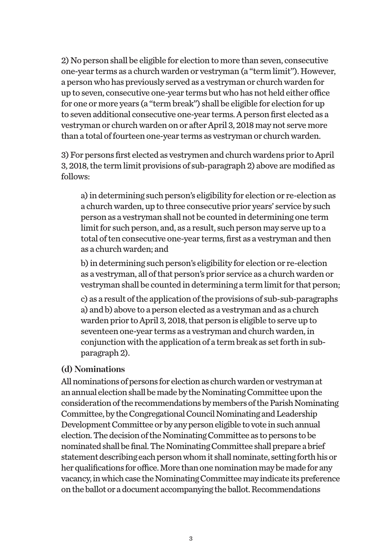2) No person shall be eligible for election to more than seven, consecutive one-year terms as a church warden or vestryman (a "term limit"). However, a person who has previously served as a vestryman or church warden for up to seven, consecutive one-year terms but who has not held either office for one or more years (a "term break") shall be eligible for election for up to seven additional consecutive one-year terms. A person first elected as a vestryman or church warden on or after April 3, 2018 may not serve more than a total of fourteen one-year terms as vestryman or church warden.

3) For persons first elected as vestrymen and church wardens prior to April 3, 2018, the term limit provisions of sub-paragraph 2) above are modified as follows:

a) in determining such person's eligibility for election or re-election as a church warden, up to three consecutive prior years' service by such person as a vestryman shall not be counted in determining one term limit for such person, and, as a result, such person may serve up to a total of ten consecutive one-year terms, first as a vestryman and then as a church warden; and

b) in determining such person's eligibility for election or re-election as a vestryman, all of that person's prior service as a church warden or vestryman shall be counted in determining a term limit for that person;

c) as a result of the application of the provisions of sub-sub-paragraphs a) and b) above to a person elected as a vestryman and as a church warden prior to April 3, 2018, that person is eligible to serve up to seventeen one-year terms as a vestryman and church warden, in conjunction with the application of a term break as set forth in subparagraph 2).

#### **(d) Nominations**

All nominations of persons for election as church warden or vestryman at an annual election shall be made by the Nominating Committee upon the consideration of the recommendations by members of the Parish Nominating Committee, by the Congregational Council Nominating and Leadership Development Committee or by any person eligible to vote in such annual election. The decision of the Nominating Committee as to persons to be nominated shall be final. The Nominating Committee shall prepare a brief statement describing each person whom it shall nominate, setting forth his or her qualifications for office. More than one nomination may be made for any vacancy, in which case the Nominating Committee may indicate its preference on the ballot or a document accompanying the ballot. Recommendations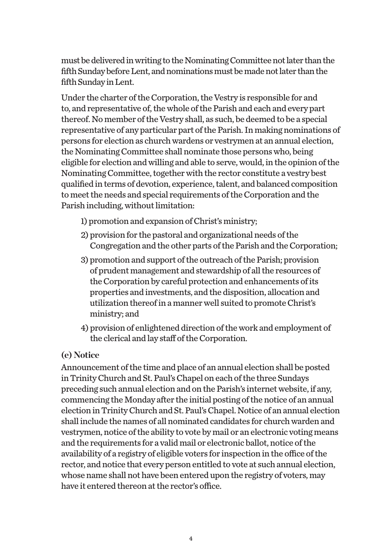must be delivered in writing to the Nominating Committee not later than the fifth Sunday before Lent, and nominations must be made not later than the fifth Sunday in Lent.

Under the charter of the Corporation, the Vestry is responsible for and to, and representative of, the whole of the Parish and each and every part thereof. No member of the Vestry shall, as such, be deemed to be a special representative of any particular part of the Parish. In making nominations of persons for election as church wardens or vestrymen at an annual election, the Nominating Committee shall nominate those persons who, being eligible for election and willing and able to serve, would, in the opinion of the Nominating Committee, together with the rector constitute a vestry best qualified in terms of devotion, experience, talent, and balanced composition to meet the needs and special requirements of the Corporation and the Parish including, without limitation:

- 1) promotion and expansion of Christ's ministry;
- 2) provision for the pastoral and organizational needs of the Congregation and the other parts of the Parish and the Corporation;
- 3) promotion and support of the outreach of the Parish; provision of prudent management and stewardship of all the resources of the Corporation by careful protection and enhancements of its properties and investments, and the disposition, allocation and utilization thereof in a manner well suited to promote Christ's ministry; and
- 4) provision of enlightened direction of the work and employment of the clerical and lay staff of the Corporation.

#### **(e) Notice**

Announcement of the time and place of an annual election shall be posted in Trinity Church and St. Paul's Chapel on each of the three Sundays preceding such annual election and on the Parish's internet website, if any, commencing the Monday after the initial posting of the notice of an annual election in Trinity Church and St. Paul's Chapel. Notice of an annual election shall include the names of all nominated candidates for church warden and vestrymen, notice of the ability to vote by mail or an electronic voting means and the requirements for a valid mail or electronic ballot, notice of the availability of a registry of eligible voters for inspection in the office of the rector, and notice that every person entitled to vote at such annual election, whose name shall not have been entered upon the registry of voters, may have it entered thereon at the rector's office.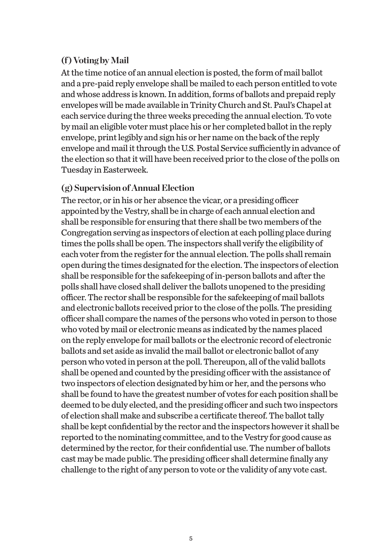## **(f ) Voting by Mail**

At the time notice of an annual election is posted, the form of mail ballot and a pre-paid reply envelope shall be mailed to each person entitled to vote and whose address is known. In addition, forms of ballots and prepaid reply envelopes will be made available in Trinity Church and St. Paul's Chapel at each service during the three weeks preceding the annual election. To vote by mail an eligible voter must place his or her completed ballot in the reply envelope, print legibly and sign his or her name on the back of the reply envelope and mail it through the U.S. Postal Service sufficiently in advance of the election so that it will have been received prior to the close of the polls on Tuesday in Easterweek.

#### **(g) Supervision of Annual Election**

The rector, or in his or her absence the vicar, or a presiding officer appointed by the Vestry, shall be in charge of each annual election and shall be responsible for ensuring that there shall be two members of the Congregation serving as inspectors of election at each polling place during times the polls shall be open. The inspectors shall verify the eligibility of each voter from the register for the annual election. The polls shall remain open during the times designated for the election. The inspectors of election shall be responsible for the safekeeping of in-person ballots and after the polls shall have closed shall deliver the ballots unopened to the presiding officer. The rector shall be responsible for the safekeeping of mail ballots and electronic ballots received prior to the close of the polls. The presiding officer shall compare the names of the persons who voted in person to those who voted by mail or electronic means as indicated by the names placed on the reply envelope for mail ballots or the electronic record of electronic ballots and set aside as invalid the mail ballot or electronic ballot of any person who voted in person at the poll. Thereupon, all of the valid ballots shall be opened and counted by the presiding officer with the assistance of two inspectors of election designated by him or her, and the persons who shall be found to have the greatest number of votes for each position shall be deemed to be duly elected, and the presiding officer and such two inspectors of election shall make and subscribe a certificate thereof. The ballot tally shall be kept confidential by the rector and the inspectors however it shall be reported to the nominating committee, and to the Vestry for good cause as determined by the rector, for their confidential use. The number of ballots cast may be made public. The presiding officer shall determine finally any challenge to the right of any person to vote or the validity of any vote cast.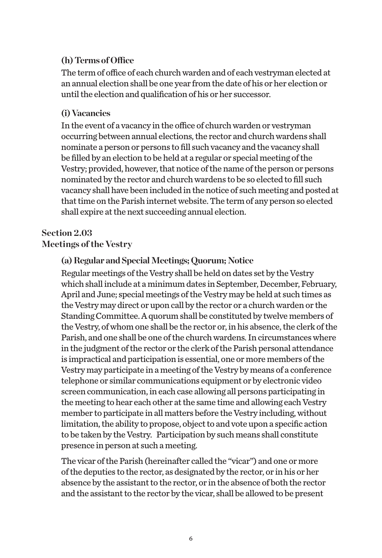#### **(h) Terms of Office**

The term of office of each church warden and of each vestryman elected at an annual election shall be one year from the date of his or her election or until the election and qualification of his or her successor.

## **(i) Vacancies**

In the event of a vacancy in the office of church warden or vestryman occurring between annual elections, the rector and church wardens shall nominate a person or persons to fill such vacancy and the vacancy shall be filled by an election to be held at a regular or special meeting of the Vestry; provided, however, that notice of the name of the person or persons nominated by the rector and church wardens to be so elected to fill such vacancy shall have been included in the notice of such meeting and posted at that time on the Parish internet website. The term of any person so elected shall expire at the next succeeding annual election.

## **Section 2.03**

## **Meetings of the Vestry**

## **(a) Regular and Special Meetings; Quorum; Notice**

Regular meetings of the Vestry shall be held on dates set by the Vestry which shall include at a minimum dates in September, December, February, April and June; special meetings of the Vestry may be held at such times as the Vestry may direct or upon call by the rector or a church warden or the Standing Committee. A quorum shall be constituted by twelve members of the Vestry, of whom one shall be the rector or, in his absence, the clerk of the Parish, and one shall be one of the church wardens. In circumstances where in the judgment of the rector or the clerk of the Parish personal attendance is impractical and participation is essential, one or more members of the Vestry may participate in a meeting of the Vestry by means of a conference telephone or similar communications equipment or by electronic video screen communication, in each case allowing all persons participating in the meeting to hear each other at the same time and allowing each Vestry member to participate in all matters before the Vestry including, without limitation, the ability to propose, object to and vote upon a specific action to be taken by the Vestry. Participation by such means shall constitute presence in person at such a meeting.

The vicar of the Parish (hereinafter called the "vicar") and one or more of the deputies to the rector, as designated by the rector, or in his or her absence by the assistant to the rector, or in the absence of both the rector and the assistant to the rector by the vicar, shall be allowed to be present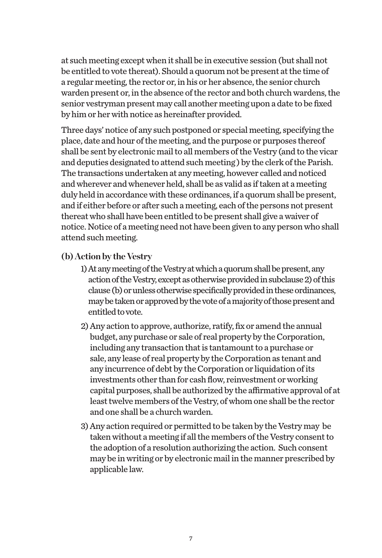at such meeting except when it shall be in executive session (but shall not be entitled to vote thereat). Should a quorum not be present at the time of a regular meeting, the rector or, in his or her absence, the senior church warden present or, in the absence of the rector and both church wardens, the senior vestryman present may call another meeting upon a date to be fixed by him or her with notice as hereinafter provided.

Three days' notice of any such postponed or special meeting, specifying the place, date and hour of the meeting, and the purpose or purposes thereof shall be sent by electronic mail to all members of the Vestry (and to the vicar and deputies designated to attend such meeting ) by the clerk of the Parish. The transactions undertaken at any meeting, however called and noticed and wherever and whenever held, shall be as valid as if taken at a meeting duly held in accordance with these ordinances, if a quorum shall be present, and if either before or after such a meeting, each of the persons not present thereat who shall have been entitled to be present shall give a waiver of notice. Notice of a meeting need not have been given to any person who shall attend such meeting.

#### **(b) Action by the Vestry**

- 1) At any meeting of the Vestry at which a quorum shall be present, any action of the Vestry, except as otherwise provided in subclause 2) of this clause (b) or unless otherwise specifically provided in these ordinances, may be taken or approved by the vote of a majority of those present and entitled to vote.
- 2) Any action to approve, authorize, ratify, fix or amend the annual budget, any purchase or sale of real property by the Corporation, including any transaction that is tantamount to a purchase or sale, any lease of real property by the Corporation as tenant and any incurrence of debt by the Corporation or liquidation of its investments other than for cash flow, reinvestment or working capital purposes, shall be authorized by the affirmative approval of at least twelve members of the Vestry, of whom one shall be the rector and one shall be a church warden.
- 3) Any action required or permitted to be taken by the Vestry may be taken without a meeting if all the members of the Vestry consent to the adoption of a resolution authorizing the action. Such consent may be in writing or by electronic mail in the manner prescribed by applicable law.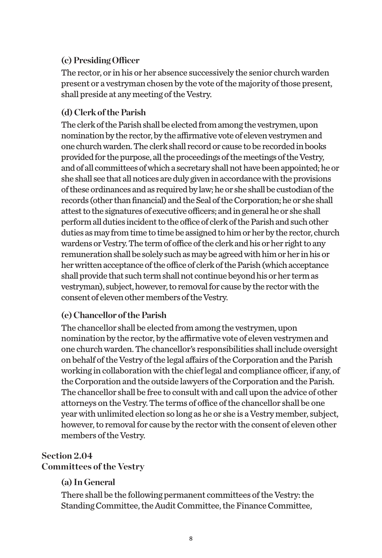## **(c) Presiding Officer**

The rector, or in his or her absence successively the senior church warden present or a vestryman chosen by the vote of the majority of those present, shall preside at any meeting of the Vestry.

## **(d) Clerk of the Parish**

The clerk of the Parish shall be elected from among the vestrymen, upon nomination by the rector, by the affirmative vote of eleven vestrymen and one church warden. The clerk shall record or cause to be recorded in books provided for the purpose, all the proceedings of the meetings of the Vestry, and of all committees of which a secretary shall not have been appointed; he or she shall see that all notices are duly given in accordance with the provisions of these ordinances and as required by law; he or she shall be custodian of the records (other than financial) and the Seal of the Corporation; he or she shall attest to the signatures of executive officers; and in general he or she shall perform all duties incident to the office of clerk of the Parish and such other duties as may from time to time be assigned to him or her by the rector, church wardens or Vestry. The term of office of the clerk and his or her right to any remuneration shall be solely such as may be agreed with him or her in his or her written acceptance of the office of clerk of the Parish (which acceptance shall provide that such term shall not continue beyond his or her term as vestryman), subject, however, to removal for cause by the rector with the consent of eleven other members of the Vestry.

## **(e) Chancellor of the Parish**

The chancellor shall be elected from among the vestrymen, upon nomination by the rector, by the affirmative vote of eleven vestrymen and one church warden. The chancellor's responsibilities shall include oversight on behalf of the Vestry of the legal affairs of the Corporation and the Parish working in collaboration with the chief legal and compliance officer, if any, of the Corporation and the outside lawyers of the Corporation and the Parish. The chancellor shall be free to consult with and call upon the advice of other attorneys on the Vestry. The terms of office of the chancellor shall be one year with unlimited election so long as he or she is a Vestry member, subject, however, to removal for cause by the rector with the consent of eleven other members of the Vestry.

## **Section 2.04**

#### **Committees of the Vestry**

## **(a) In General**

There shall be the following permanent committees of the Vestry: the Standing Committee, the Audit Committee, the Finance Committee,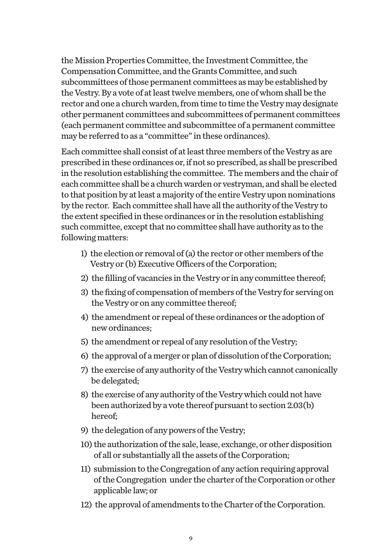the Mission Properties Committee, the Investment Committee, the Compensation Committee, and the Grants Committee, and such subcommittees of those permanent committees as may be established by the Vestry. By a vote of at least twelve members, one of whom shall be the rector and one a church warden, from time to time the Vestry may designate other permanent committees and subcommittees of permanent committees (each permanent committee and subcommittee of a permanent committee may be referred to as a "committee" in these ordinances).

Each committee shall consist of at least three members of the Vestry as are prescribed in these ordinances or, if not so prescribed, as shall be prescribed in the resolution establishing the committee. The members and the chair of each committee shall be a church warden or vestryman, and shall be elected to that position by at least a majority of the entire Vestry upon nominations by the rector. Each committee shall have all the authority of the Vestry to the extent specified in these ordinances or in the resolution establishing such committee, except that no committee shall have authority as to the following matters:

- 1) the election or removal of (a) the rector or other members of the Vestry or (b) Executive Officers of the Corporation;
- 2) the filling of vacancies in the Vestry or in any committee thereof;
- 3) the fixing of compensation of members of the Vestry for serving on the Vestry or on any committee thereof;
- 4) the amendment or repeal of these ordinances or the adoption of new ordinances;
- 5) the amendment or repeal of any resolution of the Vestry;
- 6) the approval of a merger or plan of dissolution of the Corporation;
- 7) the exercise of any authority of the Vestry which cannot canonically be delegated;
- 8) the exercise of any authority of the Vestry which could not have been authorized by a vote thereof pursuant to section 2.03(b) hereof;
- 9) the delegation of any powers of the Vestry;
- 10) the authorization of the sale, lease, exchange, or other disposition of all or substantially all the assets of the Corporation;
- 11) submission to the Congregation of any action requiring approval of the Congregation under the charter of the Corporation or other applicable law; or
- 12) the approval of amendments to the Charter of the Corporation.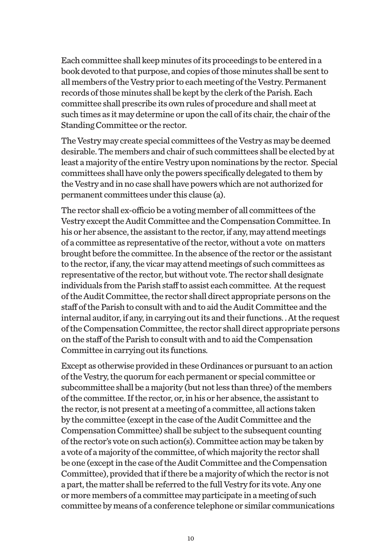Each committee shall keep minutes of its proceedings to be entered in a book devoted to that purpose, and copies of those minutes shall be sent to all members of the Vestry prior to each meeting of the Vestry. Permanent records of those minutes shall be kept by the clerk of the Parish. Each committee shall prescribe its own rules of procedure and shall meet at such times as it may determine or upon the call of its chair, the chair of the Standing Committee or the rector.

The Vestry may create special committees of the Vestry as may be deemed desirable. The members and chair of such committees shall be elected by at least a majority of the entire Vestry upon nominations by the rector. Special committees shall have only the powers specifically delegated to them by the Vestry and in no case shall have powers which are not authorized for permanent committees under this clause (a).

The rector shall ex-officio be a voting member of all committees of the Vestry except the Audit Committee and the Compensation Committee. In his or her absence, the assistant to the rector, if any, may attend meetings of a committee as representative of the rector, without a vote on matters brought before the committee. In the absence of the rector or the assistant to the rector, if any, the vicar may attend meetings of such committees as representative of the rector, but without vote. The rector shall designate individuals from the Parish staff to assist each committee. At the request of the Audit Committee, the rector shall direct appropriate persons on the staff of the Parish to consult with and to aid the Audit Committee and the internal auditor, if any, in carrying out its and their functions. . At the request of the Compensation Committee, the rector shall direct appropriate persons on the staff of the Parish to consult with and to aid the Compensation Committee in carrying out its functions.

Except as otherwise provided in these Ordinances or pursuant to an action of the Vestry, the quorum for each permanent or special committee or subcommittee shall be a majority (but not less than three) of the members of the committee. If the rector, or, in his or her absence, the assistant to the rector, is not present at a meeting of a committee, all actions taken by the committee (except in the case of the Audit Committee and the Compensation Committee) shall be subject to the subsequent counting of the rector's vote on such action(s). Committee action may be taken by a vote of a majority of the committee, of which majority the rector shall be one (except in the case of the Audit Committee and the Compensation Committee), provided that if there be a majority of which the rector is not a part, the matter shall be referred to the full Vestry for its vote. Any one or more members of a committee may participate in a meeting of such committee by means of a conference telephone or similar communications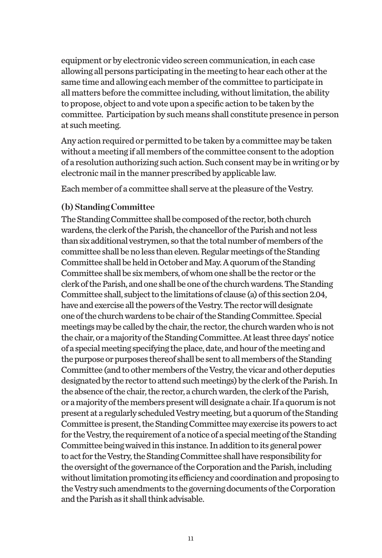equipment or by electronic video screen communication, in each case allowing all persons participating in the meeting to hear each other at the same time and allowing each member of the committee to participate in all matters before the committee including, without limitation, the ability to propose, object to and vote upon a specific action to be taken by the committee. Participation by such means shall constitute presence in person at such meeting.

Any action required or permitted to be taken by a committee may be taken without a meeting if all members of the committee consent to the adoption of a resolution authorizing such action. Such consent may be in writing or by electronic mail in the manner prescribed by applicable law.

Each member of a committee shall serve at the pleasure of the Vestry.

## **(b) Standing Committee**

The Standing Committee shall be composed of the rector, both church wardens, the clerk of the Parish, the chancellor of the Parish and not less than six additional vestrymen, so that the total number of members of the committee shall be no less than eleven. Regular meetings of the Standing Committee shall be held in October and May. A quorum of the Standing Committee shall be six members, of whom one shall be the rector or the clerk of the Parish, and one shall be one of the church wardens. The Standing Committee shall, subject to the limitations of clause (a) of this section 2.04, have and exercise all the powers of the Vestry. The rector will designate one of the church wardens to be chair of the Standing Committee. Special meetings may be called by the chair, the rector, the church warden who is not the chair, or a majority of the Standing Committee. At least three days' notice of a special meeting specifying the place, date, and hour of the meeting and the purpose or purposes thereof shall be sent to all members of the Standing Committee (and to other members of the Vestry, the vicar and other deputies designated by the rector to attend such meetings) by the clerk of the Parish. In the absence of the chair, the rector, a church warden, the clerk of the Parish, or a majority of the members present will designate a chair. If a quorum is not present at a regularly scheduled Vestry meeting, but a quorum of the Standing Committee is present, the Standing Committee may exercise its powers to act for the Vestry, the requirement of a notice of a special meeting of the Standing Committee being waived in this instance. In addition to its general power to act for the Vestry, the Standing Committee shall have responsibility for the oversight of the governance of the Corporation and the Parish, including without limitation promoting its efficiency and coordination and proposing to the Vestry such amendments to the governing documents of the Corporation and the Parish as it shall think advisable.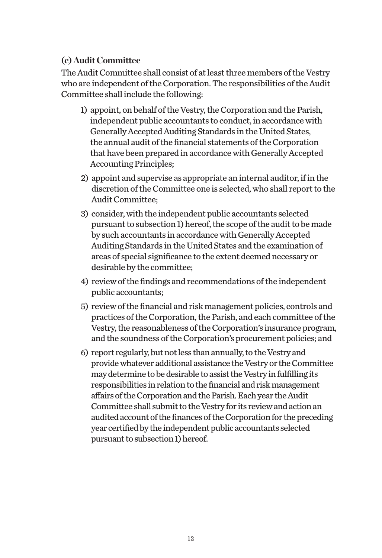## **(c) Audit Committee**

The Audit Committee shall consist of at least three members of the Vestry who are independent of the Corporation. The responsibilities of the Audit Committee shall include the following:

- 1) appoint, on behalf of the Vestry, the Corporation and the Parish, independent public accountants to conduct, in accordance with Generally Accepted Auditing Standards in the United States, the annual audit of the financial statements of the Corporation that have been prepared in accordance with Generally Accepted Accounting Principles;
- 2) appoint and supervise as appropriate an internal auditor, if in the discretion of the Committee one is selected, who shall report to the Audit Committee;
- 3) consider, with the independent public accountants selected pursuant to subsection 1) hereof, the scope of the audit to be made by such accountants in accordance with Generally Accepted Auditing Standards in the United States and the examination of areas of special significance to the extent deemed necessary or desirable by the committee;
- 4) review of the findings and recommendations of the independent public accountants;
- 5) review of the financial and risk management policies, controls and practices of the Corporation, the Parish, and each committee of the Vestry, the reasonableness of the Corporation's insurance program, and the soundness of the Corporation's procurement policies; and
- 6) report regularly, but not less than annually, to the Vestry and provide whatever additional assistance the Vestry or the Committee may determine to be desirable to assist the Vestry in fulfilling its responsibilities in relation to the financial and risk management affairs of the Corporation and the Parish. Each year the Audit Committee shall submit to the Vestry for its review and action an audited account of the finances of the Corporation for the preceding year certified by the independent public accountants selected pursuant to subsection 1) hereof.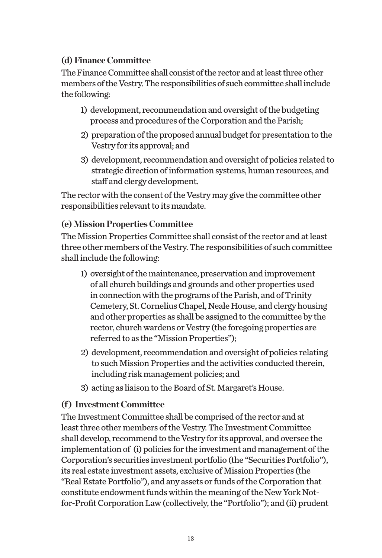## **(d) Finance Committee**

The Finance Committee shall consist of the rector and at least three other members of the Vestry. The responsibilities of such committee shall include the following:

- 1) development, recommendation and oversight of the budgeting process and procedures of the Corporation and the Parish;
- 2) preparation of the proposed annual budget for presentation to the Vestry for its approval; and
- 3) development, recommendation and oversight of policies related to strategic direction of information systems, human resources, and staff and clergy development.

The rector with the consent of the Vestry may give the committee other responsibilities relevant to its mandate.

## **(e) Mission Properties Committee**

The Mission Properties Committee shall consist of the rector and at least three other members of the Vestry. The responsibilities of such committee shall include the following:

- 1) oversight of the maintenance, preservation and improvement of all church buildings and grounds and other properties used in connection with the programs of the Parish, and of Trinity Cemetery, St. Cornelius Chapel, Neale House, and clergy housing and other properties as shall be assigned to the committee by the rector, church wardens or Vestry (the foregoing properties are referred to as the "Mission Properties");
- 2) development, recommendation and oversight of policies relating to such Mission Properties and the activities conducted therein, including risk management policies; and
- 3) acting as liaison to the Board of St. Margaret's House.

## **(f ) Investment Committee**

The Investment Committee shall be comprised of the rector and at least three other members of the Vestry. The Investment Committee shall develop, recommend to the Vestry for its approval, and oversee the implementation of (i) policies for the investment and management of the Corporation's securities investment portfolio (the "Securities Portfolio"), its real estate investment assets, exclusive of Mission Properties (the "Real Estate Portfolio"), and any assets or funds of the Corporation that constitute endowment funds within the meaning of the New York Notfor-Profit Corporation Law (collectively, the "Portfolio"); and (ii) prudent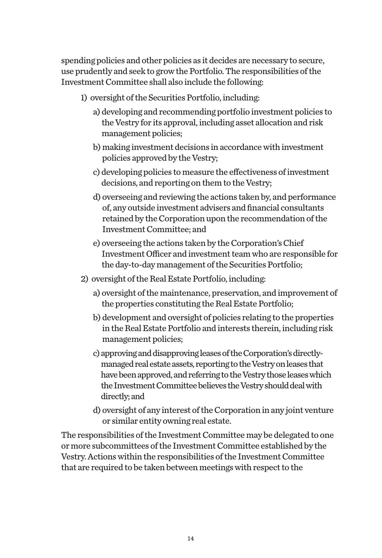spending policies and other policies as it decides are necessary to secure, use prudently and seek to grow the Portfolio. The responsibilities of the Investment Committee shall also include the following:

- 1) oversight of the Securities Portfolio, including:
	- a) developing and recommending portfolio investment policies to the Vestry for its approval, including asset allocation and risk management policies;
	- b) making investment decisions in accordance with investment policies approved by the Vestry;
	- c) developing policies to measure the effectiveness of investment decisions, and reporting on them to the Vestry;
	- d) overseeing and reviewing the actions taken by, and performance of, any outside investment advisers and financial consultants retained by the Corporation upon the recommendation of the Investment Committee; and
	- e) overseeing the actions taken by the Corporation's Chief Investment Officer and investment team who are responsible for the day-to-day management of the Securities Portfolio;
- 2) oversight of the Real Estate Portfolio, including:
	- a) oversight of the maintenance, preservation, and improvement of the properties constituting the Real Estate Portfolio;
	- b) development and oversight of policies relating to the properties in the Real Estate Portfolio and interests therein, including risk management policies;
	- c) approving and disapproving leases of the Corporation's directlymanaged real estate assets, reporting to the Vestry on leases that have been approved, and referring to the Vestry those leases which the Investment Committee believes the Vestry should deal with directly; and
	- d) oversight of any interest of the Corporation in any joint venture or similar entity owning real estate.

The responsibilities of the Investment Committee may be delegated to one or more subcommittees of the Investment Committee established by the Vestry. Actions within the responsibilities of the Investment Committee that are required to be taken between meetings with respect to the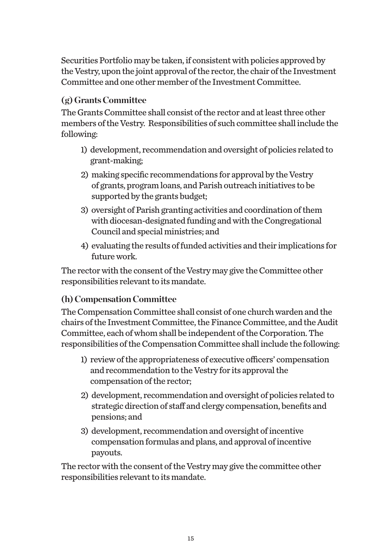Securities Portfolio may be taken, if consistent with policies approved by the Vestry, upon the joint approval of the rector, the chair of the Investment Committee and one other member of the Investment Committee.

## **(g) Grants Committee**

The Grants Committee shall consist of the rector and at least three other members of the Vestry. Responsibilities of such committee shall include the following:

- 1) development, recommendation and oversight of policies related to grant-making;
- 2) making specific recommendations for approval by the Vestry of grants, program loans, and Parish outreach initiatives to be supported by the grants budget;
- 3) oversight of Parish granting activities and coordination of them with diocesan-designated funding and with the Congregational Council and special ministries; and
- 4) evaluating the results of funded activities and their implications for future work.

The rector with the consent of the Vestry may give the Committee other responsibilities relevant to its mandate.

## **(h) Compensation Committee**

The Compensation Committee shall consist of one church warden and the chairs of the Investment Committee, the Finance Committee, and the Audit Committee, each of whom shall be independent of the Corporation. The responsibilities of the Compensation Committee shall include the following:

- 1) review of the appropriateness of executive officers' compensation and recommendation to the Vestry for its approval the compensation of the rector;
- 2) development, recommendation and oversight of policies related to strategic direction of staff and clergy compensation, benefits and pensions; and
- 3) development, recommendation and oversight of incentive compensation formulas and plans, and approval of incentive payouts.

The rector with the consent of the Vestry may give the committee other responsibilities relevant to its mandate.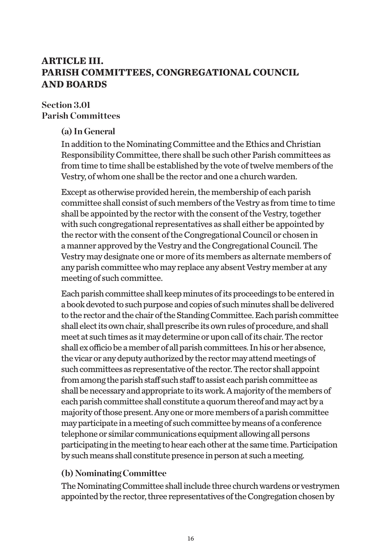## **ARTICLE III. PARISH COMMITTEES, CONGREGATIONAL COUNCIL AND BOARDS**

#### **Section 3.01 Parish Committees**

## **(a) In General**

In addition to the Nominating Committee and the Ethics and Christian Responsibility Committee, there shall be such other Parish committees as from time to time shall be established by the vote of twelve members of the Vestry, of whom one shall be the rector and one a church warden.

Except as otherwise provided herein, the membership of each parish committee shall consist of such members of the Vestry as from time to time shall be appointed by the rector with the consent of the Vestry, together with such congregational representatives as shall either be appointed by the rector with the consent of the Congregational Council or chosen in a manner approved by the Vestry and the Congregational Council. The Vestry may designate one or more of its members as alternate members of any parish committee who may replace any absent Vestry member at any meeting of such committee.

Each parish committee shall keep minutes of its proceedings to be entered in a book devoted to such purpose and copies of such minutes shall be delivered to the rector and the chair of the Standing Committee. Each parish committee shall elect its own chair, shall prescribe its own rules of procedure, and shall meet at such times as it may determine or upon call of its chair. The rector shall ex officio be a member of all parish committees. In his or her absence, the vicar or any deputy authorized by the rector may attend meetings of such committees as representative of the rector. The rector shall appoint from among the parish staff such staff to assist each parish committee as shall be necessary and appropriate to its work. A majority of the members of each parish committee shall constitute a quorum thereof and may act by a majority of those present. Any one or more members of a parish committee may participate in a meeting of such committee by means of a conference telephone or similar communications equipment allowing all persons participating in the meeting to hear each other at the same time. Participation by such means shall constitute presence in person at such a meeting.

#### **(b) Nominating Committee**

The Nominating Committee shall include three church wardens or vestrymen appointed by the rector, three representatives of the Congregation chosen by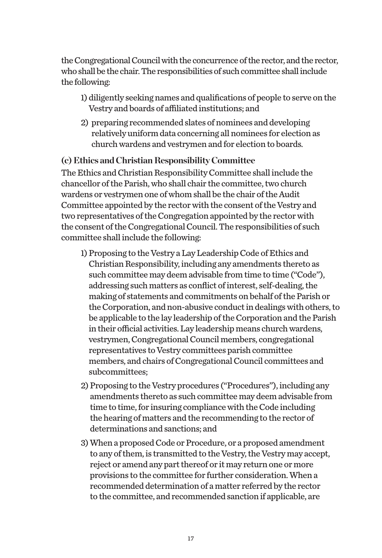the Congregational Council with the concurrence of the rector, and the rector, who shall be the chair. The responsibilities of such committee shall include the following:

- 1) diligently seeking names and qualifications of people to serve on the Vestry and boards of affiliated institutions; and
- 2) preparing recommended slates of nominees and developing relatively uniform data concerning all nominees for election as church wardens and vestrymen and for election to boards.

## **(c) Ethics and Christian Responsibility Committee**

The Ethics and Christian Responsibility Committee shall include the chancellor of the Parish, who shall chair the committee, two church wardens or vestrymen one of whom shall be the chair of the Audit Committee appointed by the rector with the consent of the Vestry and two representatives of the Congregation appointed by the rector with the consent of the Congregational Council. The responsibilities of such committee shall include the following:

- 1) Proposing to the Vestry a Lay Leadership Code of Ethics and Christian Responsibility, including any amendments thereto as such committee may deem advisable from time to time ("Code"), addressing such matters as conflict of interest, self-dealing, the making of statements and commitments on behalf of the Parish or the Corporation, and non-abusive conduct in dealings with others, to be applicable to the lay leadership of the Corporation and the Parish in their official activities. Lay leadership means church wardens, vestrymen, Congregational Council members, congregational representatives to Vestry committees parish committee members, and chairs of Congregational Council committees and subcommittees;
- 2) Proposing to the Vestry procedures ("Procedures"), including any amendments thereto as such committee may deem advisable from time to time, for insuring compliance with the Code including the hearing of matters and the recommending to the rector of determinations and sanctions; and
- 3) When a proposed Code or Procedure, or a proposed amendment to any of them, is transmitted to the Vestry, the Vestry may accept, reject or amend any part thereof or it may return one or more provisions to the committee for further consideration. When a recommended determination of a matter referred by the rector to the committee, and recommended sanction if applicable, are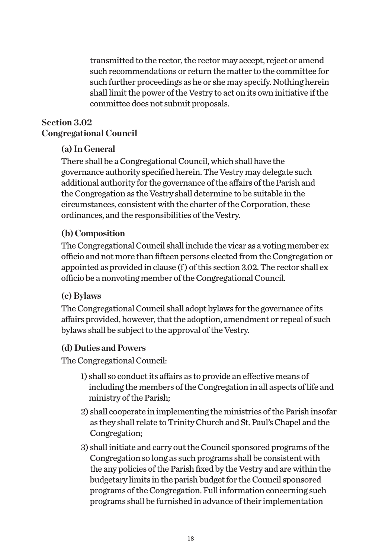transmitted to the rector, the rector may accept, reject or amend such recommendations or return the matter to the committee for such further proceedings as he or she may specify. Nothing herein shall limit the power of the Vestry to act on its own initiative if the committee does not submit proposals.

## **Section 3.02 Congregational Council**

## **(a) In General**

There shall be a Congregational Council, which shall have the governance authority specified herein. The Vestry may delegate such additional authority for the governance of the affairs of the Parish and the Congregation as the Vestry shall determine to be suitable in the circumstances, consistent with the charter of the Corporation, these ordinances, and the responsibilities of the Vestry.

## **(b) Composition**

The Congregational Council shall include the vicar as a voting member ex officio and not more than fifteen persons elected from the Congregation or appointed as provided in clause (f ) of this section 3.02. The rector shall ex officio be a nonvoting member of the Congregational Council.

## **(c) Bylaws**

The Congregational Council shall adopt bylaws for the governance of its affairs provided, however, that the adoption, amendment or repeal of such bylaws shall be subject to the approval of the Vestry.

#### **(d) Duties and Powers**

The Congregational Council:

- 1) shall so conduct its affairs as to provide an effective means of including the members of the Congregation in all aspects of life and ministry of the Parish;
- 2) shall cooperate in implementing the ministries of the Parish insofar as they shall relate to Trinity Church and St. Paul's Chapel and the Congregation;
- 3) shall initiate and carry out the Council sponsored programs of the Congregation so long as such programs shall be consistent with the any policies of the Parish fixed by the Vestry and are within the budgetary limits in the parish budget for the Council sponsored programs of the Congregation. Full information concerning such programs shall be furnished in advance of their implementation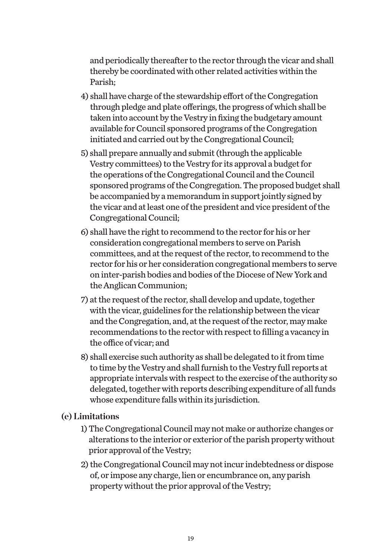and periodically thereafter to the rector through the vicar and shall thereby be coordinated with other related activities within the Parish;

- 4) shall have charge of the stewardship effort of the Congregation through pledge and plate offerings, the progress of which shall be taken into account by the Vestry in fixing the budgetary amount available for Council sponsored programs of the Congregation initiated and carried out by the Congregational Council;
- 5) shall prepare annually and submit (through the applicable Vestry committees) to the Vestry for its approval a budget for the operations of the Congregational Council and the Council sponsored programs of the Congregation. The proposed budget shall be accompanied by a memorandum in support jointly signed by the vicar and at least one of the president and vice president of the Congregational Council;
- 6) shall have the right to recommend to the rector for his or her consideration congregational members to serve on Parish committees, and at the request of the rector, to recommend to the rector for his or her consideration congregational members to serve on inter-parish bodies and bodies of the Diocese of New York and the Anglican Communion;
- 7) at the request of the rector, shall develop and update, together with the vicar, guidelines for the relationship between the vicar and the Congregation, and, at the request of the rector, may make recommendations to the rector with respect to filling a vacancy in the office of vicar; and
- 8) shall exercise such authority as shall be delegated to it from time to time by the Vestry and shall furnish to the Vestry full reports at appropriate intervals with respect to the exercise of the authority so delegated, together with reports describing expenditure of all funds whose expenditure falls within its jurisdiction.

#### **(e) Limitations**

- 1) The Congregational Council may not make or authorize changes or alterations to the interior or exterior of the parish property without prior approval of the Vestry;
- 2) the Congregational Council may not incur indebtedness or dispose of, or impose any charge, lien or encumbrance on, any parish property without the prior approval of the Vestry;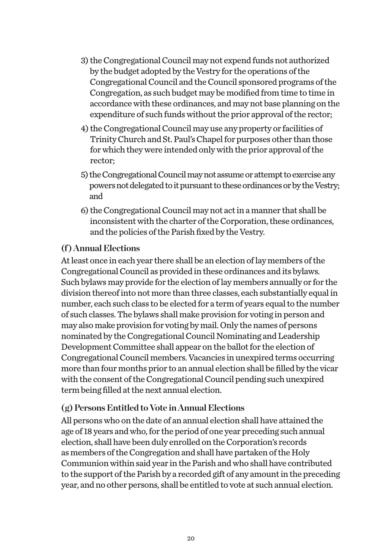- 3) the Congregational Council may not expend funds not authorized by the budget adopted by the Vestry for the operations of the Congregational Council and the Council sponsored programs of the Congregation, as such budget may be modified from time to time in accordance with these ordinances, and may not base planning on the expenditure of such funds without the prior approval of the rector;
- 4) the Congregational Council may use any property or facilities of Trinity Church and St. Paul's Chapel for purposes other than those for which they were intended only with the prior approval of the rector;
- 5) the Congregational Council may not assume or attempt to exercise any powers not delegated to it pursuant to these ordinances or by the Vestry; and
- 6) the Congregational Council may not act in a manner that shall be inconsistent with the charter of the Corporation, these ordinances, and the policies of the Parish fixed by the Vestry.

#### **(f ) Annual Elections**

At least once in each year there shall be an election of lay members of the Congregational Council as provided in these ordinances and its bylaws. Such bylaws may provide for the election of lay members annually or for the division thereof into not more than three classes, each substantially equal in number, each such class to be elected for a term of years equal to the number of such classes. The bylaws shall make provision for voting in person and may also make provision for voting by mail. Only the names of persons nominated by the Congregational Council Nominating and Leadership Development Committee shall appear on the ballot for the election of Congregational Council members. Vacancies in unexpired terms occurring more than four months prior to an annual election shall be filled by the vicar with the consent of the Congregational Council pending such unexpired term being filled at the next annual election.

#### **(g) Persons Entitled to Vote in Annual Elections**

All persons who on the date of an annual election shall have attained the age of 18 years and who, for the period of one year preceding such annual election, shall have been duly enrolled on the Corporation's records as members of the Congregation and shall have partaken of the Holy Communion within said year in the Parish and who shall have contributed to the support of the Parish by a recorded gift of any amount in the preceding year, and no other persons, shall be entitled to vote at such annual election.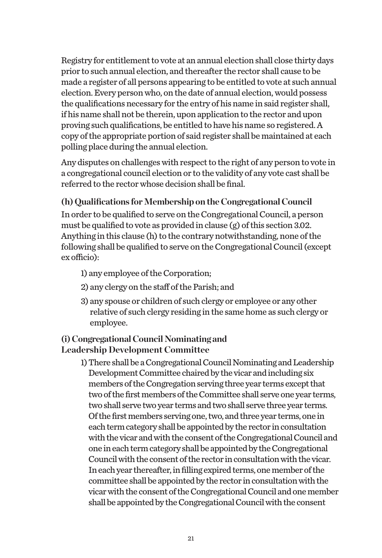Registry for entitlement to vote at an annual election shall close thirty days prior to such annual election, and thereafter the rector shall cause to be made a register of all persons appearing to be entitled to vote at such annual election. Every person who, on the date of annual election, would possess the qualifications necessary for the entry of his name in said register shall, if his name shall not be therein, upon application to the rector and upon proving such qualifications, be entitled to have his name so registered. A copy of the appropriate portion of said register shall be maintained at each polling place during the annual election.

Any disputes on challenges with respect to the right of any person to vote in a congregational council election or to the validity of any vote cast shall be referred to the rector whose decision shall be final.

## **(h) Qualifications for Membership on the Congregational Council**

In order to be qualified to serve on the Congregational Council, a person must be qualified to vote as provided in clause  $\varphi$  of this section 3.02. Anything in this clause (h) to the contrary notwithstanding, none of the following shall be qualified to serve on the Congregational Council (except ex officio):

- 1) any employee of the Corporation;
- 2) any clergy on the staff of the Parish; and
- 3) any spouse or children of such clergy or employee or any other relative of such clergy residing in the same home as such clergy or employee.

## **(i) Congregational Council Nominating and Leadership Development Committee**

1) There shall be a Congregational Council Nominating and Leadership Development Committee chaired by the vicar and including six members of the Congregation serving three year terms except that two of the first members of the Committee shall serve one year terms, two shall serve two year terms and two shall serve three year terms. Of the first members serving one, two, and three year terms, one in each term category shall be appointed by the rector in consultation with the vicar and with the consent of the Congregational Council and one in each term category shall be appointed by the Congregational Council with the consent of the rector in consultation with the vicar. In each year thereafter, in filling expired terms, one member of the committee shall be appointed by the rector in consultation with the vicar with the consent of the Congregational Council and one member shall be appointed by the Congregational Council with the consent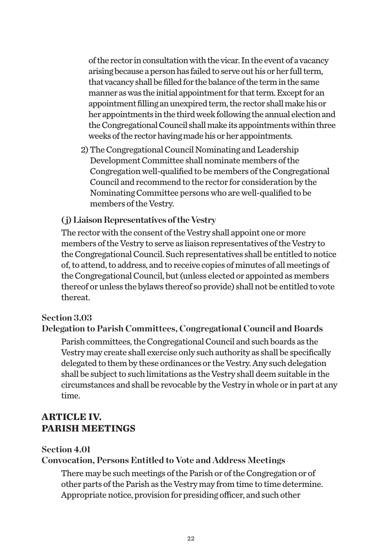of the rector in consultation with the vicar. In the event of a vacancy arising because a person has failed to serve out his or her full term, that vacancy shall be filled for the balance of the term in the same manner as was the initial appointment for that term. Except for an appointment filling an unexpired term, the rector shall make his or her appointments in the third week following the annual election and the Congregational Council shall make its appointments within three weeks of the rector having made his or her appointments.

2) The Congregational Council Nominating and Leadership Development Committee shall nominate members of the Congregation well-qualified to be members of the Congregational Council and recommend to the rector for consideration by the Nominating Committee persons who are well-qualified to be members of the Vestry.

#### **( j) Liaison Representatives of the Vestry**

The rector with the consent of the Vestry shall appoint one or more members of the Vestry to serve as liaison representatives of the Vestry to the Congregational Council. Such representatives shall be entitled to notice of, to attend, to address, and to receive copies of minutes of all meetings of the Congregational Council, but (unless elected or appointed as members thereof or unless the bylaws thereof so provide) shall not be entitled to vote thereat.

#### **Section 3.03**

#### **Delegation to Parish Committees, Congregational Council and Boards**

Parish committees, the Congregational Council and such boards as the Vestry may create shall exercise only such authority as shall be specifically delegated to them by these ordinances or the Vestry. Any such delegation shall be subject to such limitations as the Vestry shall deem suitable in the circumstances and shall be revocable by the Vestry in whole or in part at any time.

## **ARTICLE IV. PARISH MEETINGS**

#### **Section 4.01**

#### **Convocation, Persons Entitled to Vote and Address Meetings**

There may be such meetings of the Parish or of the Congregation or of other parts of the Parish as the Vestry may from time to time determine. Appropriate notice, provision for presiding officer, and such other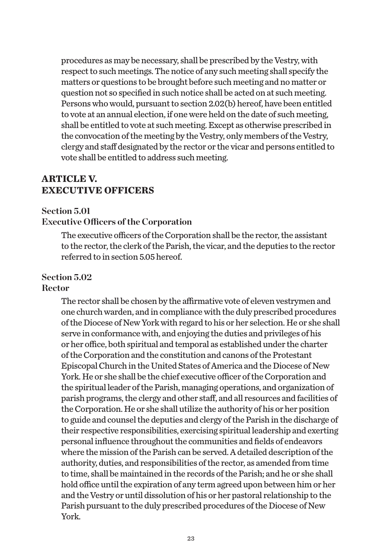procedures as may be necessary, shall be prescribed by the Vestry, with respect to such meetings. The notice of any such meeting shall specify the matters or questions to be brought before such meeting and no matter or question not so specified in such notice shall be acted on at such meeting. Persons who would, pursuant to section 2.02(b) hereof, have been entitled to vote at an annual election, if one were held on the date of such meeting, shall be entitled to vote at such meeting. Except as otherwise prescribed in the convocation of the meeting by the Vestry, only members of the Vestry, clergy and staff designated by the rector or the vicar and persons entitled to vote shall be entitled to address such meeting.

## **ARTICLE V. EXECUTIVE OFFICERS**

#### **Section 5.01**

#### **Executive Officers of the Corporation**

The executive officers of the Corporation shall be the rector, the assistant to the rector, the clerk of the Parish, the vicar, and the deputies to the rector referred to in section 5.05 hereof.

# **Section 5.02**

#### **Rector**

The rector shall be chosen by the affirmative vote of eleven vestrymen and one church warden, and in compliance with the duly prescribed procedures of the Diocese of New York with regard to his or her selection. He or she shall serve in conformance with, and enjoying the duties and privileges of his or her office, both spiritual and temporal as established under the charter of the Corporation and the constitution and canons of the Protestant Episcopal Church in the United States of America and the Diocese of New York. He or she shall be the chief executive officer of the Corporation and the spiritual leader of the Parish, managing operations, and organization of parish programs, the clergy and other staff, and all resources and facilities of the Corporation. He or she shall utilize the authority of his or her position to guide and counsel the deputies and clergy of the Parish in the discharge of their respective responsibilities, exercising spiritual leadership and exerting personal influence throughout the communities and fields of endeavors where the mission of the Parish can be served. A detailed description of the authority, duties, and responsibilities of the rector, as amended from time to time, shall be maintained in the records of the Parish; and he or she shall hold office until the expiration of any term agreed upon between him or her and the Vestry or until dissolution of his or her pastoral relationship to the Parish pursuant to the duly prescribed procedures of the Diocese of New York.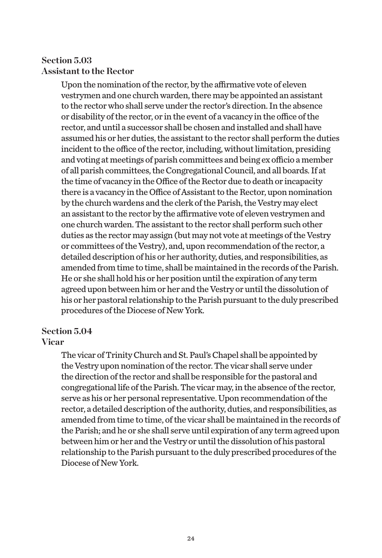## **Section 5.03 Assistant to the Rector**

Upon the nomination of the rector, by the affirmative vote of eleven vestrymen and one church warden, there may be appointed an assistant to the rector who shall serve under the rector's direction. In the absence or disability of the rector, or in the event of a vacancy in the office of the rector, and until a successor shall be chosen and installed and shall have assumed his or her duties, the assistant to the rector shall perform the duties incident to the office of the rector, including, without limitation, presiding and voting at meetings of parish committees and being ex officio a member of all parish committees, the Congregational Council, and all boards. If at the time of vacancy in the Office of the Rector due to death or incapacity there is a vacancy in the Office of Assistant to the Rector, upon nomination by the church wardens and the clerk of the Parish, the Vestry may elect an assistant to the rector by the affirmative vote of eleven vestrymen and one church warden. The assistant to the rector shall perform such other duties as the rector may assign (but may not vote at meetings of the Vestry or committees of the Vestry), and, upon recommendation of the rector, a detailed description of his or her authority, duties, and responsibilities, as amended from time to time, shall be maintained in the records of the Parish. He or she shall hold his or her position until the expiration of any term agreed upon between him or her and the Vestry or until the dissolution of his or her pastoral relationship to the Parish pursuant to the duly prescribed procedures of the Diocese of New York.

## **Section 5.04**

#### **Vicar**

The vicar of Trinity Church and St. Paul's Chapel shall be appointed by the Vestry upon nomination of the rector. The vicar shall serve under the direction of the rector and shall be responsible for the pastoral and congregational life of the Parish. The vicar may, in the absence of the rector, serve as his or her personal representative. Upon recommendation of the rector, a detailed description of the authority, duties, and responsibilities, as amended from time to time, of the vicar shall be maintained in the records of the Parish; and he or she shall serve until expiration of any term agreed upon between him or her and the Vestry or until the dissolution of his pastoral relationship to the Parish pursuant to the duly prescribed procedures of the Diocese of New York.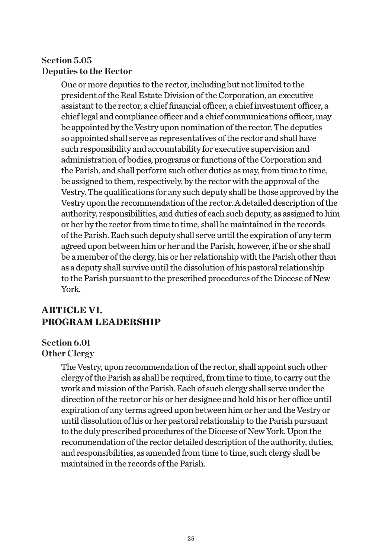## **Section 5.05 Deputies to the Rector**

One or more deputies to the rector, including but not limited to the president of the Real Estate Division of the Corporation, an executive assistant to the rector, a chief financial officer, a chief investment officer, a chief legal and compliance officer and a chief communications officer, may be appointed by the Vestry upon nomination of the rector. The deputies so appointed shall serve as representatives of the rector and shall have such responsibility and accountability for executive supervision and administration of bodies, programs or functions of the Corporation and the Parish, and shall perform such other duties as may, from time to time, be assigned to them, respectively, by the rector with the approval of the Vestry. The qualifications for any such deputy shall be those approved by the Vestry upon the recommendation of the rector. A detailed description of the authority, responsibilities, and duties of each such deputy, as assigned to him or her by the rector from time to time, shall be maintained in the records of the Parish. Each such deputy shall serve until the expiration of any term agreed upon between him or her and the Parish, however, if he or she shall be a member of the clergy, his or her relationship with the Parish other than as a deputy shall survive until the dissolution of his pastoral relationship to the Parish pursuant to the prescribed procedures of the Diocese of New York.

## **ARTICLE VI. PROGRAM LEADERSHIP**

#### **Section 6.01 Other Clergy**

The Vestry, upon recommendation of the rector, shall appoint such other clergy of the Parish as shall be required, from time to time, to carry out the work and mission of the Parish. Each of such clergy shall serve under the direction of the rector or his or her designee and hold his or her office until expiration of any terms agreed upon between him or her and the Vestry or until dissolution of his or her pastoral relationship to the Parish pursuant to the duly prescribed procedures of the Diocese of New York. Upon the recommendation of the rector detailed description of the authority, duties, and responsibilities, as amended from time to time, such clergy shall be maintained in the records of the Parish.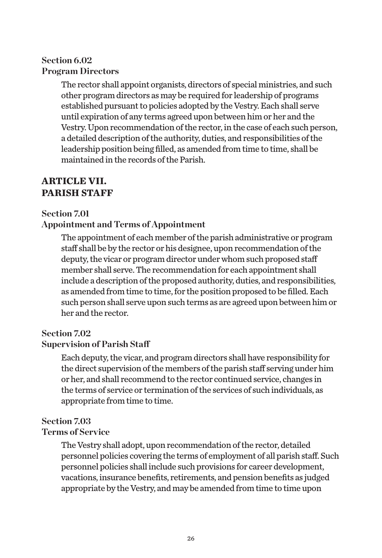## **Section 6.02 Program Directors**

The rector shall appoint organists, directors of special ministries, and such other program directors as may be required for leadership of programs established pursuant to policies adopted by the Vestry. Each shall serve until expiration of any terms agreed upon between him or her and the Vestry. Upon recommendation of the rector, in the case of each such person, a detailed description of the authority, duties, and responsibilities of the leadership position being filled, as amended from time to time, shall be maintained in the records of the Parish.

## **ARTICLE VII. PARISH STAFF**

#### **Section 7.01**

#### **Appointment and Terms of Appointment**

The appointment of each member of the parish administrative or program staff shall be by the rector or his designee, upon recommendation of the deputy, the vicar or program director under whom such proposed staff member shall serve. The recommendation for each appointment shall include a description of the proposed authority, duties, and responsibilities, as amended from time to time, for the position proposed to be filled. Each such person shall serve upon such terms as are agreed upon between him or her and the rector.

#### **Section 7.02**

#### **Supervision of Parish Staff**

Each deputy, the vicar, and program directors shall have responsibility for the direct supervision of the members of the parish staff serving under him or her, and shall recommend to the rector continued service, changes in the terms of service or termination of the services of such individuals, as appropriate from time to time.

#### **Section 7.03**

#### **Terms of Service**

The Vestry shall adopt, upon recommendation of the rector, detailed personnel policies covering the terms of employment of all parish staff. Such personnel policies shall include such provisions for career development, vacations, insurance benefits, retirements, and pension benefits as judged appropriate by the Vestry, and may be amended from time to time upon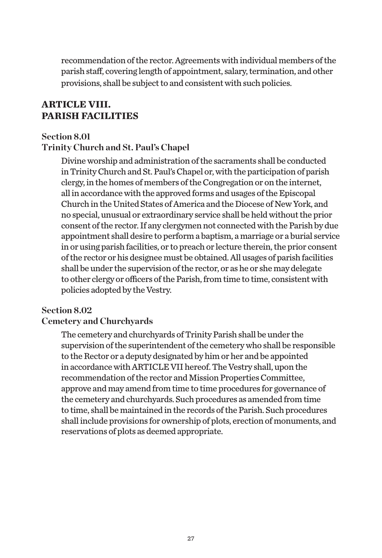recommendation of the rector. Agreements with individual members of the parish staff, covering length of appointment, salary, termination, and other provisions, shall be subject to and consistent with such policies.

## **ARTICLE VIII. PARISH FACILITIES**

#### **Section 8.01 Trinity Church and St. Paul's Chapel**

Divine worship and administration of the sacraments shall be conducted in Trinity Church and St. Paul's Chapel or, with the participation of parish clergy, in the homes of members of the Congregation or on the internet, all in accordance with the approved forms and usages of the Episcopal Church in the United States of America and the Diocese of New York, and no special, unusual or extraordinary service shall be held without the prior consent of the rector. If any clergymen not connected with the Parish by due appointment shall desire to perform a baptism, a marriage or a burial service in or using parish facilities, or to preach or lecture therein, the prior consent of the rector or his designee must be obtained. All usages of parish facilities shall be under the supervision of the rector, or as he or she may delegate to other clergy or officers of the Parish, from time to time, consistent with policies adopted by the Vestry.

#### **Section 8.02**

#### **Cemetery and Churchyards**

The cemetery and churchyards of Trinity Parish shall be under the supervision of the superintendent of the cemetery who shall be responsible to the Rector or a deputy designated by him or her and be appointed in accordance with ARTICLE VII hereof. The Vestry shall, upon the recommendation of the rector and Mission Properties Committee, approve and may amend from time to time procedures for governance of the cemetery and churchyards. Such procedures as amended from time to time, shall be maintained in the records of the Parish. Such procedures shall include provisions for ownership of plots, erection of monuments, and reservations of plots as deemed appropriate.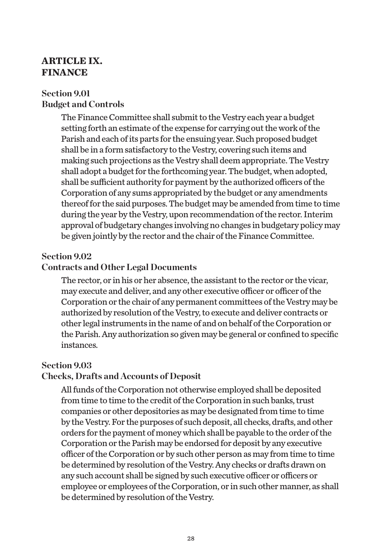## **ARTICLE IX. FINANCE**

#### **Section 9.01 Budget and Controls**

The Finance Committee shall submit to the Vestry each year a budget setting forth an estimate of the expense for carrying out the work of the Parish and each of its parts for the ensuing year. Such proposed budget shall be in a form satisfactory to the Vestry, covering such items and making such projections as the Vestry shall deem appropriate. The Vestry shall adopt a budget for the forthcoming year. The budget, when adopted, shall be sufficient authority for payment by the authorized officers of the Corporation of any sums appropriated by the budget or any amendments thereof for the said purposes. The budget may be amended from time to time during the year by the Vestry, upon recommendation of the rector. Interim approval of budgetary changes involving no changes in budgetary policy may be given jointly by the rector and the chair of the Finance Committee.

#### **Section 9.02**

#### **Contracts and Other Legal Documents**

The rector, or in his or her absence, the assistant to the rector or the vicar, may execute and deliver, and any other executive officer or officer of the Corporation or the chair of any permanent committees of the Vestry may be authorized by resolution of the Vestry, to execute and deliver contracts or other legal instruments in the name of and on behalf of the Corporation or the Parish. Any authorization so given may be general or confined to specific instances.

#### **Section 9.03**

#### **Checks, Drafts and Accounts of Deposit**

All funds of the Corporation not otherwise employed shall be deposited from time to time to the credit of the Corporation in such banks, trust companies or other depositories as may be designated from time to time by the Vestry. For the purposes of such deposit, all checks, drafts, and other orders for the payment of money which shall be payable to the order of the Corporation or the Parish may be endorsed for deposit by any executive officer of the Corporation or by such other person as may from time to time be determined by resolution of the Vestry. Any checks or drafts drawn on any such account shall be signed by such executive officer or officers or employee or employees of the Corporation, or in such other manner, as shall be determined by resolution of the Vestry.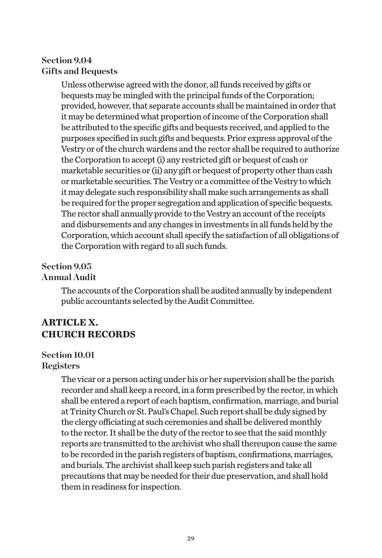## **Section 9.04 Gifts and Bequests**

Unless otherwise agreed with the donor, all funds received by gifts or bequests may be mingled with the principal funds of the Corporation; provided, however, that separate accounts shall be maintained in order that it may be determined what proportion of income of the Corporation shall be attributed to the specific gifts and bequests received, and applied to the purposes specified in such gifts and bequests. Prior express approval of the Vestry or of the church wardens and the rector shall be required to authorize the Corporation to accept (i) any restricted gift or bequest of cash or marketable securities or (ii) any gift or bequest of property other than cash or marketable securities. The Vestry or a committee of the Vestry to which it may delegate such responsibility shall make such arrangements as shall be required for the proper segregation and application of specific bequests. The rector shall annually provide to the Vestry an account of the receipts and disbursements and any changes in investments in all funds held by the Corporation, which account shall specify the satisfaction of all obligations of the Corporation with regard to all such funds.

#### **Section 9.05 Annual Audit**

The accounts of the Corporation shall be audited annually by independent public accountants selected by the Audit Committee.

## **ARTICLE X. CHURCH RECORDS**

## **Section 10.01**

#### **Registers**

The vicar or a person acting under his or her supervision shall be the parish recorder and shall keep a record, in a form prescribed by the rector, in which shall be entered a report of each baptism, confirmation, marriage, and burial at Trinity Church or St. Paul's Chapel. Such report shall be duly signed by the clergy officiating at such ceremonies and shall be delivered monthly to the rector. It shall be the duty of the rector to see that the said monthly reports are transmitted to the archivist who shall thereupon cause the same to be recorded in the parish registers of baptism, confirmations, marriages, and burials. The archivist shall keep such parish registers and take all precautions that may be needed for their due preservation, and shall hold them in readiness for inspection.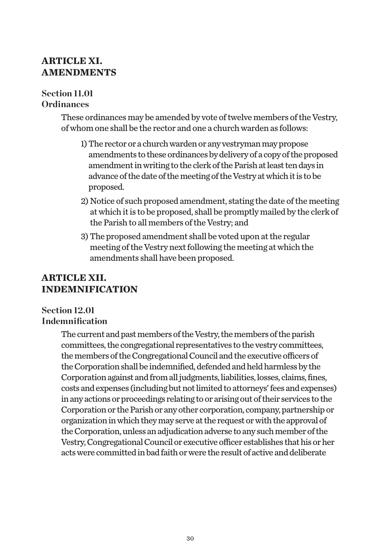## **ARTICLE XI. AMENDMENTS**

#### **Section 11.01 Ordinances**

These ordinances may be amended by vote of twelve members of the Vestry, of whom one shall be the rector and one a church warden as follows:

- 1) The rector or a church warden or any vestryman may propose amendments to these ordinances by delivery of a copy of the proposed amendment in writing to the clerk of the Parish at least ten days in advance of the date of the meeting of the Vestry at which it is to be proposed.
- 2) Notice of such proposed amendment, stating the date of the meeting at which it is to be proposed, shall be promptly mailed by the clerk of the Parish to all members of the Vestry; and
- 3) The proposed amendment shall be voted upon at the regular meeting of the Vestry next following the meeting at which the amendments shall have been proposed.

## **ARTICLE XII. INDEMNIFICATION**

## **Section 12.01 Indemnification**

The current and past members of the Vestry, the members of the parish committees, the congregational representatives to the vestry committees, the members of the Congregational Council and the executive officers of the Corporation shall be indemnified, defended and held harmless by the Corporation against and from all judgments, liabilities, losses, claims, fines, costs and expenses (including but not limited to attorneys' fees and expenses) in any actions or proceedings relating to or arising out of their services to the Corporation or the Parish or any other corporation, company, partnership or organization in which they may serve at the request or with the approval of the Corporation, unless an adjudication adverse to any such member of the Vestry, Congregational Council or executive officer establishes that his or her acts were committed in bad faith or were the result of active and deliberate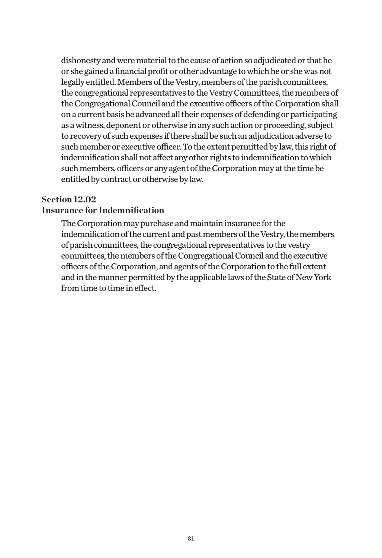dishonesty and were material to the cause of action so adjudicated or that he or she gained a financial profit or other advantage to which he or she was not legally entitled. Members of the Vestry, members of the parish committees, the congregational representatives to the Vestry Committees, the members of the Congregational Council and the executive officers of the Corporation shall on a current basis be advanced all their expenses of defending or participating as a witness, deponent or otherwise in any such action or proceeding, subject to recovery of such expenses if there shall be such an adjudication adverse to such member or executive officer. To the extent permitted by law, this right of indemnification shall not affect any other rights to indemnification to which such members, officers or any agent of the Corporation may at the time be entitled by contract or otherwise by law.

#### **Section 12.02**

#### **Insurance for Indemnification**

The Corporation may purchase and maintain insurance for the indemnification of the current and past members of the Vestry, the members of parish committees, the congregational representatives to the vestry committees, the members of the Congregational Council and the executive officers of the Corporation, and agents of the Corporation to the full extent and in the manner permitted by the applicable laws of the State of New York from time to time in effect.